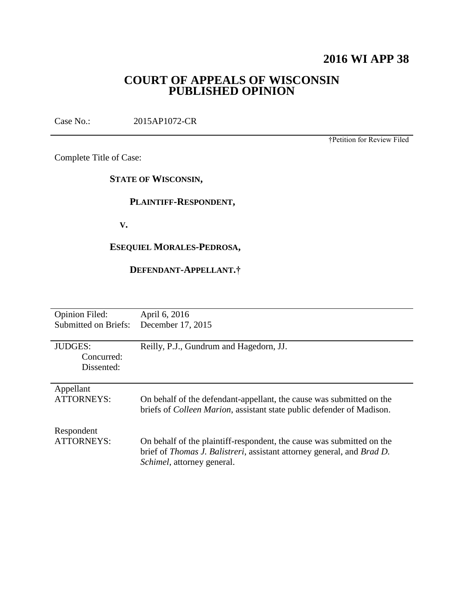## **2016 WI APP 38**

## **COURT OF APPEALS OF WISCONSIN PUBLISHED OPINION**

Case No.: 2015AP1072-CR

†Petition for Review Filed

Complete Title of Case:

**STATE OF WISCONSIN,**

## **PLAINTIFF-RESPONDENT,**

 **V.**

## **ESEQUIEL MORALES-PEDROSA,**

## **DEFENDANT-APPELLANT.†**

| <b>Opinion Filed:</b>       | April 6, 2016                                                                         |
|-----------------------------|---------------------------------------------------------------------------------------|
| <b>Submitted on Briefs:</b> | December 17, 2015                                                                     |
|                             |                                                                                       |
| <b>JUDGES:</b>              | Reilly, P.J., Gundrum and Hagedorn, JJ.                                               |
| Concurred:                  |                                                                                       |
| Dissented:                  |                                                                                       |
|                             |                                                                                       |
| Appellant                   |                                                                                       |
| <b>ATTORNEYS:</b>           | On behalf of the defendant-appellant, the cause was submitted on the                  |
|                             | briefs of <i>Colleen Marion</i> , assistant state public defender of Madison.         |
|                             |                                                                                       |
| Respondent                  |                                                                                       |
| <b>ATTORNEYS:</b>           | On behalf of the plaintiff-respondent, the cause was submitted on the                 |
|                             | brief of <i>Thomas J. Balistreri</i> , assistant attorney general, and <i>Brad D.</i> |
|                             | <i>Schimel</i> , attorney general.                                                    |
|                             |                                                                                       |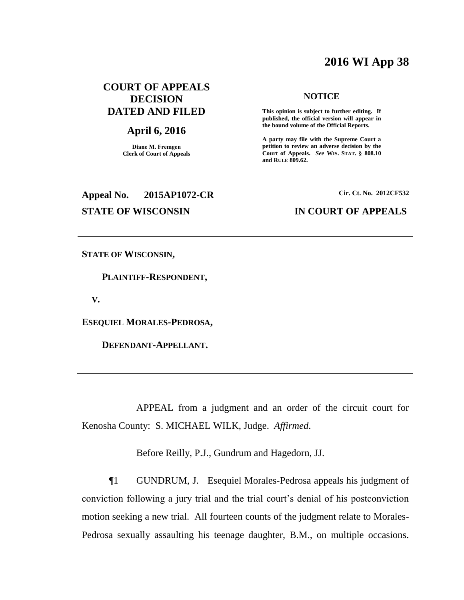## **2016 WI App 38**

## **COURT OF APPEALS DECISION DATED AND FILED**

### **April 6, 2016**

**Diane M. Fremgen Clerk of Court of Appeals**

# **Appeal No. 2015AP1072-CR Cir. Ct. No. 2012CF532**

#### **NOTICE**

**This opinion is subject to further editing. If published, the official version will appear in the bound volume of the Official Reports.** 

**A party may file with the Supreme Court a petition to review an adverse decision by the Court of Appeals.** *See* **WIS. STAT. § 808.10 and RULE 809.62.** 

#### **STATE OF WISCONSIN IN COURT OF APPEALS**

**STATE OF WISCONSIN,**

 **PLAINTIFF-RESPONDENT,**

 **V.**

**ESEQUIEL MORALES-PEDROSA,**

 **DEFENDANT-APPELLANT.**

APPEAL from a judgment and an order of the circuit court for Kenosha County: S. MICHAEL WILK, Judge. *Affirmed*.

Before Reilly, P.J., Gundrum and Hagedorn, JJ.

¶1 GUNDRUM, J. Esequiel Morales-Pedrosa appeals his judgment of conviction following a jury trial and the trial court's denial of his postconviction motion seeking a new trial. All fourteen counts of the judgment relate to Morales-Pedrosa sexually assaulting his teenage daughter, B.M., on multiple occasions.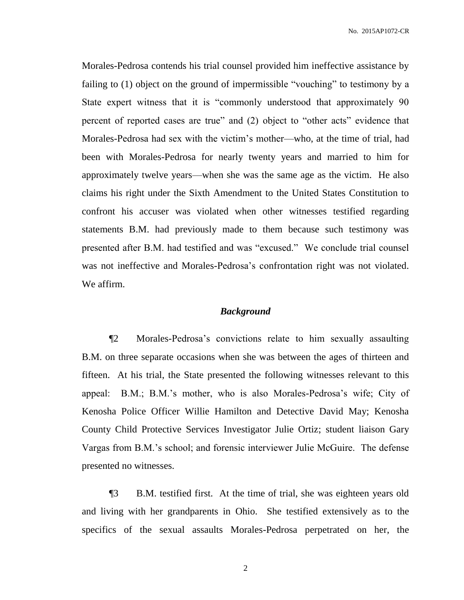Morales-Pedrosa contends his trial counsel provided him ineffective assistance by failing to (1) object on the ground of impermissible "vouching" to testimony by a State expert witness that it is "commonly understood that approximately 90 percent of reported cases are true" and (2) object to "other acts" evidence that Morales-Pedrosa had sex with the victim's mother—who, at the time of trial, had been with Morales-Pedrosa for nearly twenty years and married to him for approximately twelve years—when she was the same age as the victim. He also claims his right under the Sixth Amendment to the United States Constitution to confront his accuser was violated when other witnesses testified regarding statements B.M. had previously made to them because such testimony was presented after B.M. had testified and was "excused." We conclude trial counsel was not ineffective and Morales-Pedrosa's confrontation right was not violated. We affirm.

#### *Background*

¶2 Morales-Pedrosa's convictions relate to him sexually assaulting B.M. on three separate occasions when she was between the ages of thirteen and fifteen. At his trial, the State presented the following witnesses relevant to this appeal: B.M.; B.M.'s mother, who is also Morales-Pedrosa's wife; City of Kenosha Police Officer Willie Hamilton and Detective David May; Kenosha County Child Protective Services Investigator Julie Ortiz; student liaison Gary Vargas from B.M.'s school; and forensic interviewer Julie McGuire. The defense presented no witnesses.

¶3 B.M. testified first. At the time of trial, she was eighteen years old and living with her grandparents in Ohio. She testified extensively as to the specifics of the sexual assaults Morales-Pedrosa perpetrated on her, the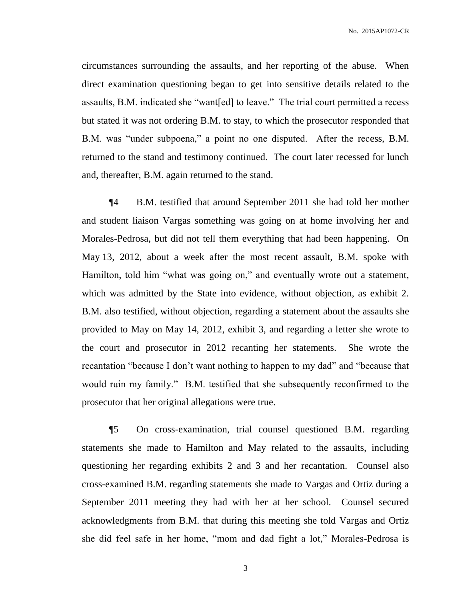circumstances surrounding the assaults, and her reporting of the abuse. When direct examination questioning began to get into sensitive details related to the assaults, B.M. indicated she "want[ed] to leave." The trial court permitted a recess but stated it was not ordering B.M. to stay, to which the prosecutor responded that B.M. was "under subpoena," a point no one disputed. After the recess, B.M. returned to the stand and testimony continued. The court later recessed for lunch and, thereafter, B.M. again returned to the stand.

¶4 B.M. testified that around September 2011 she had told her mother and student liaison Vargas something was going on at home involving her and Morales-Pedrosa, but did not tell them everything that had been happening. On May 13, 2012, about a week after the most recent assault, B.M. spoke with Hamilton, told him "what was going on," and eventually wrote out a statement, which was admitted by the State into evidence, without objection, as exhibit 2. B.M. also testified, without objection, regarding a statement about the assaults she provided to May on May 14, 2012, exhibit 3, and regarding a letter she wrote to the court and prosecutor in 2012 recanting her statements. She wrote the recantation "because I don't want nothing to happen to my dad" and "because that would ruin my family." B.M. testified that she subsequently reconfirmed to the prosecutor that her original allegations were true.

¶5 On cross-examination, trial counsel questioned B.M. regarding statements she made to Hamilton and May related to the assaults, including questioning her regarding exhibits 2 and 3 and her recantation. Counsel also cross-examined B.M. regarding statements she made to Vargas and Ortiz during a September 2011 meeting they had with her at her school. Counsel secured acknowledgments from B.M. that during this meeting she told Vargas and Ortiz she did feel safe in her home, "mom and dad fight a lot," Morales-Pedrosa is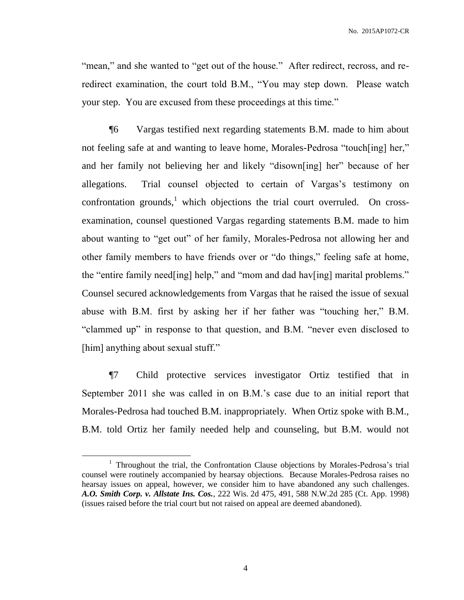"mean," and she wanted to "get out of the house." After redirect, recross, and reredirect examination, the court told B.M., "You may step down. Please watch your step. You are excused from these proceedings at this time."

¶6 Vargas testified next regarding statements B.M. made to him about not feeling safe at and wanting to leave home, Morales-Pedrosa "touch[ing] her," and her family not believing her and likely "disown[ing] her" because of her allegations. Trial counsel objected to certain of Vargas's testimony on confrontation grounds, $<sup>1</sup>$  which objections the trial court overruled. On cross-</sup> examination, counsel questioned Vargas regarding statements B.M. made to him about wanting to "get out" of her family, Morales-Pedrosa not allowing her and other family members to have friends over or "do things," feeling safe at home, the "entire family need[ing] help," and "mom and dad hav[ing] marital problems." Counsel secured acknowledgements from Vargas that he raised the issue of sexual abuse with B.M. first by asking her if her father was "touching her," B.M. "clammed up" in response to that question, and B.M. "never even disclosed to [him] anything about sexual stuff."

¶7 Child protective services investigator Ortiz testified that in September 2011 she was called in on B.M.'s case due to an initial report that Morales-Pedrosa had touched B.M. inappropriately. When Ortiz spoke with B.M., B.M. told Ortiz her family needed help and counseling, but B.M. would not

<sup>&</sup>lt;sup>1</sup> Throughout the trial, the Confrontation Clause objections by Morales-Pedrosa's trial counsel were routinely accompanied by hearsay objections. Because Morales-Pedrosa raises no hearsay issues on appeal, however, we consider him to have abandoned any such challenges. *A.O. Smith Corp. v. Allstate Ins. Cos.*, 222 Wis. 2d 475, 491, 588 N.W.2d 285 (Ct. App. 1998) (issues raised before the trial court but not raised on appeal are deemed abandoned).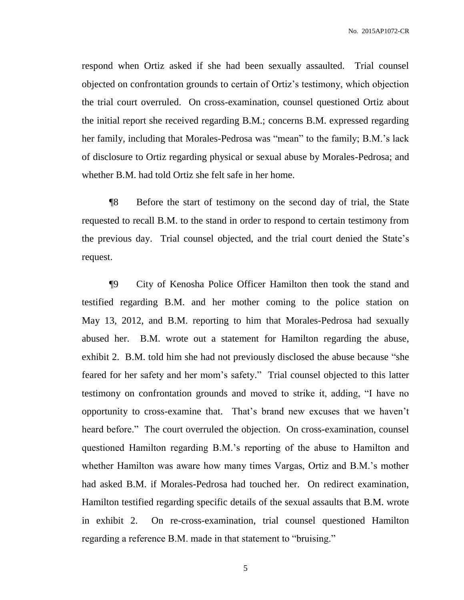respond when Ortiz asked if she had been sexually assaulted. Trial counsel objected on confrontation grounds to certain of Ortiz's testimony, which objection the trial court overruled. On cross-examination, counsel questioned Ortiz about the initial report she received regarding B.M.; concerns B.M. expressed regarding her family, including that Morales-Pedrosa was "mean" to the family; B.M.'s lack of disclosure to Ortiz regarding physical or sexual abuse by Morales-Pedrosa; and whether B.M. had told Ortiz she felt safe in her home.

¶8 Before the start of testimony on the second day of trial, the State requested to recall B.M. to the stand in order to respond to certain testimony from the previous day. Trial counsel objected, and the trial court denied the State's request.

¶9 City of Kenosha Police Officer Hamilton then took the stand and testified regarding B.M. and her mother coming to the police station on May 13, 2012, and B.M. reporting to him that Morales-Pedrosa had sexually abused her. B.M. wrote out a statement for Hamilton regarding the abuse, exhibit 2. B.M. told him she had not previously disclosed the abuse because "she feared for her safety and her mom's safety." Trial counsel objected to this latter testimony on confrontation grounds and moved to strike it, adding, "I have no opportunity to cross-examine that. That's brand new excuses that we haven't heard before." The court overruled the objection. On cross-examination, counsel questioned Hamilton regarding B.M.'s reporting of the abuse to Hamilton and whether Hamilton was aware how many times Vargas, Ortiz and B.M.'s mother had asked B.M. if Morales-Pedrosa had touched her. On redirect examination, Hamilton testified regarding specific details of the sexual assaults that B.M. wrote in exhibit 2. On re-cross-examination, trial counsel questioned Hamilton regarding a reference B.M. made in that statement to "bruising."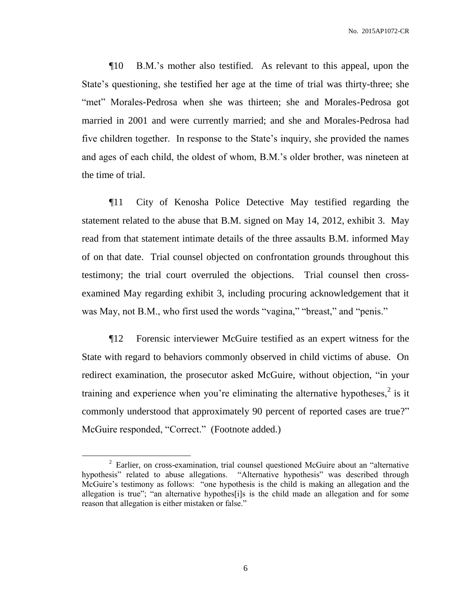¶10 B.M.'s mother also testified. As relevant to this appeal, upon the State's questioning, she testified her age at the time of trial was thirty-three; she "met" Morales-Pedrosa when she was thirteen; she and Morales-Pedrosa got married in 2001 and were currently married; and she and Morales-Pedrosa had five children together. In response to the State's inquiry, she provided the names and ages of each child, the oldest of whom, B.M.'s older brother, was nineteen at the time of trial.

¶11 City of Kenosha Police Detective May testified regarding the statement related to the abuse that B.M. signed on May 14, 2012, exhibit 3. May read from that statement intimate details of the three assaults B.M. informed May of on that date. Trial counsel objected on confrontation grounds throughout this testimony; the trial court overruled the objections. Trial counsel then crossexamined May regarding exhibit 3, including procuring acknowledgement that it was May, not B.M., who first used the words "vagina," "breast," and "penis."

¶12 Forensic interviewer McGuire testified as an expert witness for the State with regard to behaviors commonly observed in child victims of abuse. On redirect examination, the prosecutor asked McGuire, without objection, "in your training and experience when you're eliminating the alternative hypotheses, $\frac{2}{3}$  is it commonly understood that approximately 90 percent of reported cases are true?" McGuire responded, "Correct." (Footnote added.)

 $2$  Earlier, on cross-examination, trial counsel questioned McGuire about an "alternative" hypothesis" related to abuse allegations. "Alternative hypothesis" was described through McGuire's testimony as follows: "one hypothesis is the child is making an allegation and the allegation is true"; "an alternative hypothes[i]s is the child made an allegation and for some reason that allegation is either mistaken or false."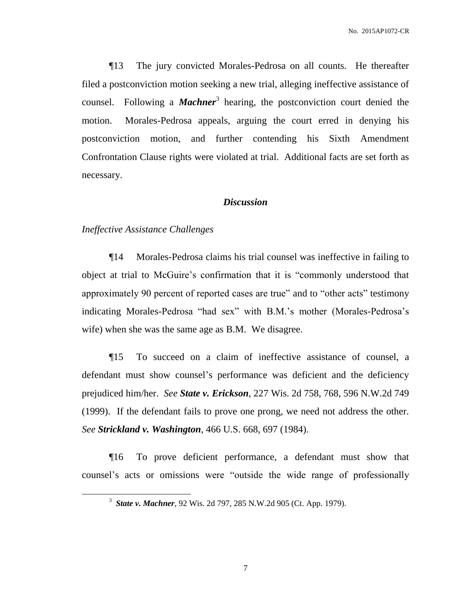¶13 The jury convicted Morales-Pedrosa on all counts. He thereafter filed a postconviction motion seeking a new trial, alleging ineffective assistance of counsel. Following a *Machner*<sup>3</sup> hearing, the postconviction court denied the motion. Morales-Pedrosa appeals, arguing the court erred in denying his postconviction motion, and further contending his Sixth Amendment Confrontation Clause rights were violated at trial. Additional facts are set forth as necessary.

#### *Discussion*

#### *Ineffective Assistance Challenges*

 $\overline{a}$ 

¶14 Morales-Pedrosa claims his trial counsel was ineffective in failing to object at trial to McGuire's confirmation that it is "commonly understood that approximately 90 percent of reported cases are true" and to "other acts" testimony indicating Morales-Pedrosa "had sex" with B.M.'s mother (Morales-Pedrosa's wife) when she was the same age as B.M. We disagree.

¶15 To succeed on a claim of ineffective assistance of counsel, a defendant must show counsel's performance was deficient and the deficiency prejudiced him/her. *See State v. Erickson*, 227 Wis. 2d 758, 768, 596 N.W.2d 749 (1999). If the defendant fails to prove one prong, we need not address the other. *See Strickland v. Washington*, 466 U.S. 668, 697 (1984).

¶16 To prove deficient performance, a defendant must show that counsel's acts or omissions were "outside the wide range of professionally

<sup>3</sup> *State v. Machner*, 92 Wis. 2d 797, 285 N.W.2d 905 (Ct. App. 1979).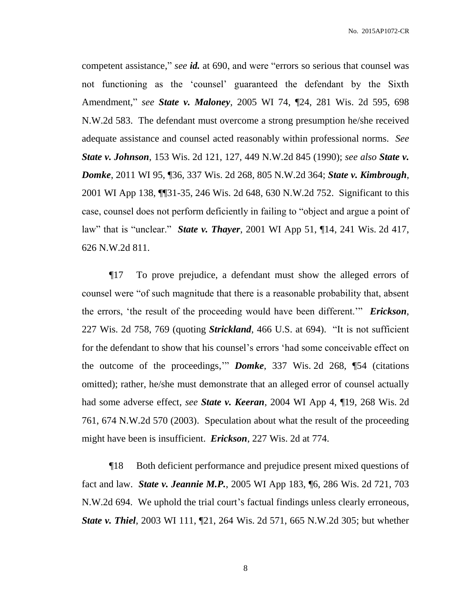competent assistance," *see id.* at 690, and were "errors so serious that counsel was not functioning as the 'counsel' guaranteed the defendant by the Sixth Amendment," *see State v. Maloney*, 2005 WI 74, ¶24, 281 Wis. 2d 595, 698 N.W.2d 583. The defendant must overcome a strong presumption he/she received adequate assistance and counsel acted reasonably within professional norms. *See State v. Johnson*, 153 Wis. 2d 121, 127, 449 N.W.2d 845 (1990); *see also State v. Domke*, 2011 WI 95, ¶36, 337 Wis. 2d 268, 805 N.W.2d 364; *State v. Kimbrough*, 2001 WI App 138, ¶¶31-35, 246 Wis. 2d 648, 630 N.W.2d 752. Significant to this case, counsel does not perform deficiently in failing to "object and argue a point of law" that is "unclear." *State v. Thayer*, 2001 WI App 51, ¶14, 241 Wis. 2d 417, 626 N.W.2d 811.

¶17 To prove prejudice, a defendant must show the alleged errors of counsel were "of such magnitude that there is a reasonable probability that, absent the errors, 'the result of the proceeding would have been different.'" *Erickson*, 227 Wis. 2d 758, 769 (quoting *Strickland*, 466 U.S. at 694). "It is not sufficient for the defendant to show that his counsel's errors 'had some conceivable effect on the outcome of the proceedings,'" *Domke*, 337 Wis. 2d 268, ¶54 (citations omitted); rather, he/she must demonstrate that an alleged error of counsel actually had some adverse effect, *see State v. Keeran*, 2004 WI App 4, ¶19, 268 Wis. 2d 761, 674 N.W.2d 570 (2003). Speculation about what the result of the proceeding might have been is insufficient. *Erickson*, 227 Wis. 2d at 774.

¶18 Both deficient performance and prejudice present mixed questions of fact and law. *State v. Jeannie M.P.*, 2005 WI App 183, ¶6, 286 Wis. 2d 721, 703 N.W.2d 694. We uphold the trial court's factual findings unless clearly erroneous, *State v. Thiel*, 2003 WI 111, ¶21, 264 Wis. 2d 571, 665 N.W.2d 305; but whether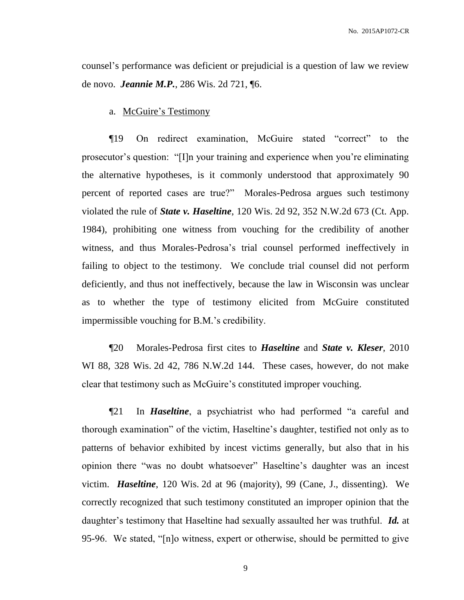counsel's performance was deficient or prejudicial is a question of law we review de novo. *Jeannie M.P.*, 286 Wis. 2d 721, ¶6.

a. McGuire's Testimony

¶19 On redirect examination, McGuire stated "correct" to the prosecutor's question: "[I]n your training and experience when you're eliminating the alternative hypotheses, is it commonly understood that approximately 90 percent of reported cases are true?" Morales-Pedrosa argues such testimony violated the rule of *State v. Haseltine*, 120 Wis. 2d 92, 352 N.W.2d 673 (Ct. App. 1984), prohibiting one witness from vouching for the credibility of another witness, and thus Morales-Pedrosa's trial counsel performed ineffectively in failing to object to the testimony. We conclude trial counsel did not perform deficiently, and thus not ineffectively, because the law in Wisconsin was unclear as to whether the type of testimony elicited from McGuire constituted impermissible vouching for B.M.'s credibility.

¶20 Morales-Pedrosa first cites to *Haseltine* and *State v. Kleser*, 2010 WI 88, 328 Wis. 2d 42, 786 N.W.2d 144. These cases, however, do not make clear that testimony such as McGuire's constituted improper vouching.

¶21 In *Haseltine*, a psychiatrist who had performed "a careful and thorough examination" of the victim, Haseltine's daughter, testified not only as to patterns of behavior exhibited by incest victims generally, but also that in his opinion there "was no doubt whatsoever" Haseltine's daughter was an incest victim. *Haseltine*, 120 Wis. 2d at 96 (majority), 99 (Cane, J., dissenting). We correctly recognized that such testimony constituted an improper opinion that the daughter's testimony that Haseltine had sexually assaulted her was truthful. *Id.* at 95-96. We stated, "[n]o witness, expert or otherwise, should be permitted to give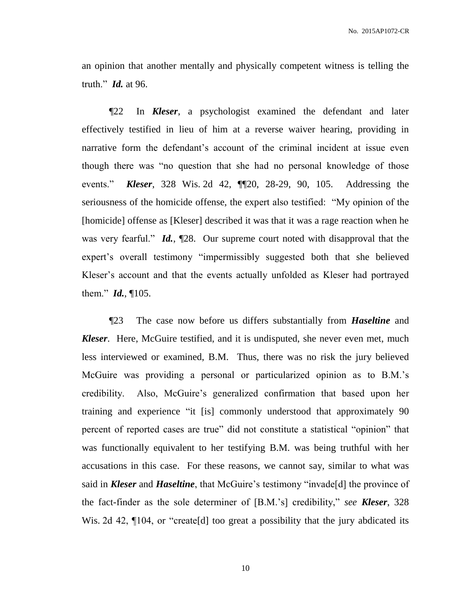an opinion that another mentally and physically competent witness is telling the truth." *Id.* at 96.

¶22 In *Kleser*, a psychologist examined the defendant and later effectively testified in lieu of him at a reverse waiver hearing, providing in narrative form the defendant's account of the criminal incident at issue even though there was "no question that she had no personal knowledge of those events." *Kleser*, 328 Wis. 2d 42, ¶¶20, 28-29, 90, 105. Addressing the seriousness of the homicide offense, the expert also testified: "My opinion of the [homicide] offense as [Kleser] described it was that it was a rage reaction when he was very fearful." *Id.*, ¶28. Our supreme court noted with disapproval that the expert's overall testimony "impermissibly suggested both that she believed Kleser's account and that the events actually unfolded as Kleser had portrayed them." *Id.*, ¶105.

¶23 The case now before us differs substantially from *Haseltine* and *Kleser*. Here, McGuire testified, and it is undisputed, she never even met, much less interviewed or examined, B.M. Thus, there was no risk the jury believed McGuire was providing a personal or particularized opinion as to B.M.'s credibility. Also, McGuire's generalized confirmation that based upon her training and experience "it [is] commonly understood that approximately 90 percent of reported cases are true" did not constitute a statistical "opinion" that was functionally equivalent to her testifying B.M. was being truthful with her accusations in this case. For these reasons, we cannot say, similar to what was said in *Kleser* and *Haseltine*, that McGuire's testimony "invade[d] the province of the fact-finder as the sole determiner of [B.M.'s] credibility," *see Kleser*, 328 Wis. 2d 42,  $\P$ 104, or "create[d] too great a possibility that the jury abdicated its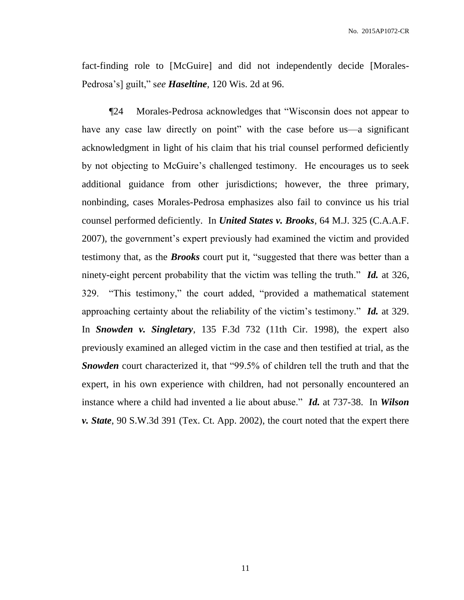fact-finding role to [McGuire] and did not independently decide [Morales-Pedrosa's] guilt," s*ee Haseltine*, 120 Wis. 2d at 96.

¶24 Morales-Pedrosa acknowledges that "Wisconsin does not appear to have any case law directly on point" with the case before us—a significant acknowledgment in light of his claim that his trial counsel performed deficiently by not objecting to McGuire's challenged testimony. He encourages us to seek additional guidance from other jurisdictions; however, the three primary, nonbinding, cases Morales-Pedrosa emphasizes also fail to convince us his trial counsel performed deficiently. In *United States v. Brooks*, 64 M.J. 325 (C.A.A.F. 2007), the government's expert previously had examined the victim and provided testimony that, as the *Brooks* court put it, "suggested that there was better than a ninety-eight percent probability that the victim was telling the truth." *Id.* at 326, 329. "This testimony," the court added, "provided a mathematical statement approaching certainty about the reliability of the victim's testimony." *Id.* at 329. In *Snowden v. Singletary*, 135 F.3d 732 (11th Cir. 1998), the expert also previously examined an alleged victim in the case and then testified at trial, as the *Snowden* court characterized it, that "99.5% of children tell the truth and that the expert, in his own experience with children, had not personally encountered an instance where a child had invented a lie about abuse." *Id.* at 737-38. In *Wilson v. State*, 90 S.W.3d 391 (Tex. Ct. App. 2002), the court noted that the expert there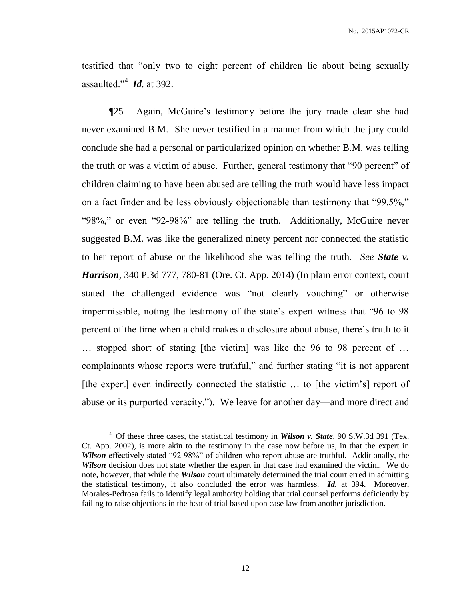testified that "only two to eight percent of children lie about being sexually assaulted."<sup>4</sup> *Id.* at 392.

¶25 Again, McGuire's testimony before the jury made clear she had never examined B.M. She never testified in a manner from which the jury could conclude she had a personal or particularized opinion on whether B.M. was telling the truth or was a victim of abuse. Further, general testimony that "90 percent" of children claiming to have been abused are telling the truth would have less impact on a fact finder and be less obviously objectionable than testimony that "99.5%," "98%," or even "92-98%" are telling the truth. Additionally, McGuire never suggested B.M. was like the generalized ninety percent nor connected the statistic to her report of abuse or the likelihood she was telling the truth. *See State v. Harrison*, 340 P.3d 777, 780-81 (Ore. Ct. App. 2014) (In plain error context, court stated the challenged evidence was "not clearly vouching" or otherwise impermissible, noting the testimony of the state's expert witness that "96 to 98 percent of the time when a child makes a disclosure about abuse, there's truth to it … stopped short of stating [the victim] was like the 96 to 98 percent of … complainants whose reports were truthful," and further stating "it is not apparent [the expert] even indirectly connected the statistic ... to [the victim's] report of abuse or its purported veracity."). We leave for another day—and more direct and

<sup>4</sup> Of these three cases, the statistical testimony in *Wilson v. State*, 90 S.W.3d 391 (Tex. Ct. App. 2002), is more akin to the testimony in the case now before us, in that the expert in *Wilson* effectively stated "92-98%" of children who report abuse are truthful. Additionally, the *Wilson* decision does not state whether the expert in that case had examined the victim. We do note, however, that while the *Wilson* court ultimately determined the trial court erred in admitting the statistical testimony, it also concluded the error was harmless. *Id.* at 394. Moreover, Morales-Pedrosa fails to identify legal authority holding that trial counsel performs deficiently by failing to raise objections in the heat of trial based upon case law from another jurisdiction.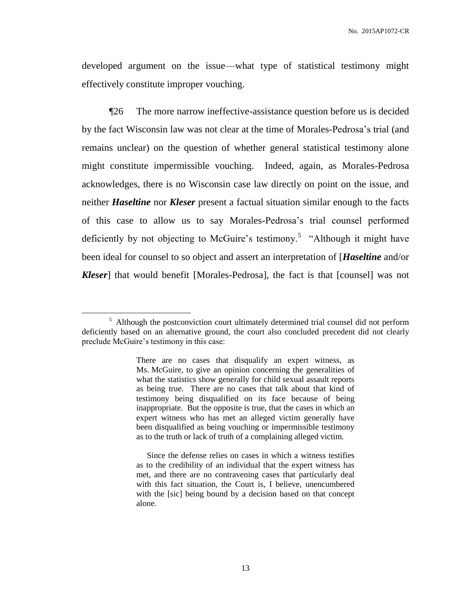developed argument on the issue—what type of statistical testimony might effectively constitute improper vouching.

¶26 The more narrow ineffective-assistance question before us is decided by the fact Wisconsin law was not clear at the time of Morales-Pedrosa's trial (and remains unclear) on the question of whether general statistical testimony alone might constitute impermissible vouching. Indeed, again, as Morales-Pedrosa acknowledges, there is no Wisconsin case law directly on point on the issue, and neither *Haseltine* nor *Kleser* present a factual situation similar enough to the facts of this case to allow us to say Morales-Pedrosa's trial counsel performed deficiently by not objecting to McGuire's testimony.<sup>5</sup> "Although it might have been ideal for counsel to so object and assert an interpretation of [*Haseltine* and/or *Kleser*] that would benefit [Morales-Pedrosa], the fact is that [counsel] was not

<sup>&</sup>lt;sup>5</sup> Although the postconviction court ultimately determined trial counsel did not perform deficiently based on an alternative ground, the court also concluded precedent did not clearly preclude McGuire's testimony in this case:

There are no cases that disqualify an expert witness, as Ms. McGuire, to give an opinion concerning the generalities of what the statistics show generally for child sexual assault reports as being true. There are no cases that talk about that kind of testimony being disqualified on its face because of being inappropriate. But the opposite is true, that the cases in which an expert witness who has met an alleged victim generally have been disqualified as being vouching or impermissible testimony as to the truth or lack of truth of a complaining alleged victim.

Since the defense relies on cases in which a witness testifies as to the credibility of an individual that the expert witness has met, and there are no contravening cases that particularly deal with this fact situation, the Court is, I believe, unencumbered with the [sic] being bound by a decision based on that concept alone.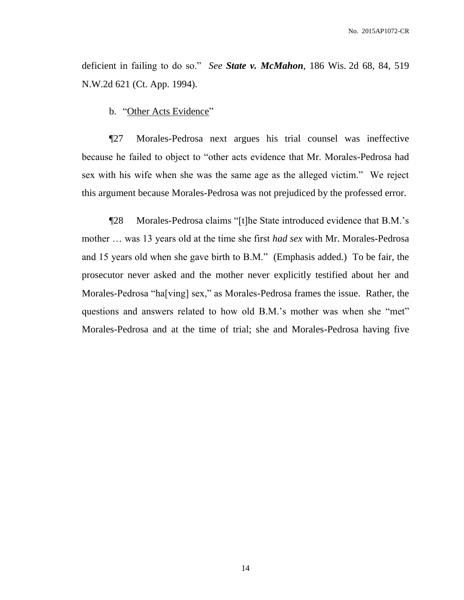deficient in failing to do so." *See State v. McMahon*, 186 Wis. 2d 68, 84, 519 N.W.2d 621 (Ct. App. 1994).

b. "Other Acts Evidence"

¶27 Morales-Pedrosa next argues his trial counsel was ineffective because he failed to object to "other acts evidence that Mr. Morales-Pedrosa had sex with his wife when she was the same age as the alleged victim." We reject this argument because Morales-Pedrosa was not prejudiced by the professed error.

¶28 Morales-Pedrosa claims "[t]he State introduced evidence that B.M.'s mother … was 13 years old at the time she first *had sex* with Mr. Morales-Pedrosa and 15 years old when she gave birth to B.M." (Emphasis added.) To be fair, the prosecutor never asked and the mother never explicitly testified about her and Morales-Pedrosa "ha[ving] sex," as Morales-Pedrosa frames the issue. Rather, the questions and answers related to how old B.M.'s mother was when she "met" Morales-Pedrosa and at the time of trial; she and Morales-Pedrosa having five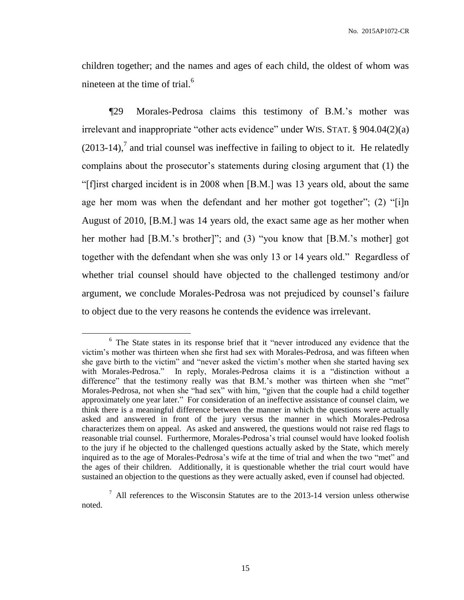children together; and the names and ages of each child, the oldest of whom was nineteen at the time of trial. $<sup>6</sup>$ </sup>

¶29 Morales-Pedrosa claims this testimony of B.M.'s mother was irrelevant and inappropriate "other acts evidence" under WIS. STAT. § 904.04(2)(a)  $(2013-14)$ , and trial counsel was ineffective in failing to object to it. He relatedly complains about the prosecutor's statements during closing argument that (1) the "[f]irst charged incident is in 2008 when [B.M.] was 13 years old, about the same age her mom was when the defendant and her mother got together"; (2) "[i]n August of 2010, [B.M.] was 14 years old, the exact same age as her mother when her mother had [B.M.'s brother]"; and (3) "you know that [B.M.'s mother] got together with the defendant when she was only 13 or 14 years old." Regardless of whether trial counsel should have objected to the challenged testimony and/or argument, we conclude Morales-Pedrosa was not prejudiced by counsel's failure to object due to the very reasons he contends the evidence was irrelevant.

<sup>&</sup>lt;sup>6</sup> The State states in its response brief that it "never introduced any evidence that the victim's mother was thirteen when she first had sex with Morales-Pedrosa, and was fifteen when she gave birth to the victim" and "never asked the victim's mother when she started having sex with Morales-Pedrosa." In reply, Morales-Pedrosa claims it is a "distinction without a difference" that the testimony really was that B.M.'s mother was thirteen when she "met" Morales-Pedrosa, not when she "had sex" with him, "given that the couple had a child together approximately one year later." For consideration of an ineffective assistance of counsel claim, we think there is a meaningful difference between the manner in which the questions were actually asked and answered in front of the jury versus the manner in which Morales-Pedrosa characterizes them on appeal. As asked and answered, the questions would not raise red flags to reasonable trial counsel. Furthermore, Morales-Pedrosa's trial counsel would have looked foolish to the jury if he objected to the challenged questions actually asked by the State, which merely inquired as to the age of Morales-Pedrosa's wife at the time of trial and when the two "met" and the ages of their children. Additionally, it is questionable whether the trial court would have sustained an objection to the questions as they were actually asked, even if counsel had objected.

 $<sup>7</sup>$  All references to the Wisconsin Statutes are to the 2013-14 version unless otherwise</sup> noted.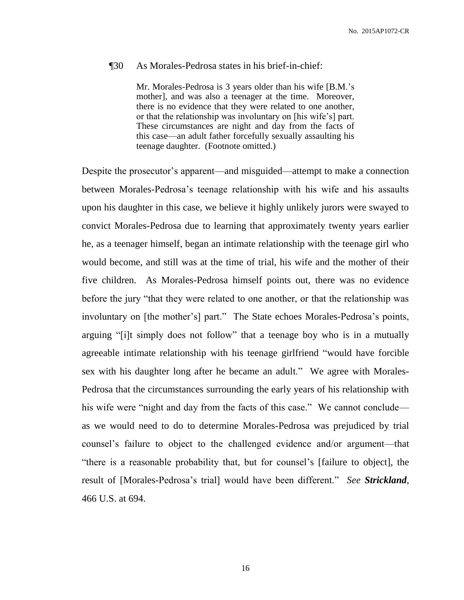#### ¶30 As Morales-Pedrosa states in his brief-in-chief:

Mr. Morales-Pedrosa is 3 years older than his wife [B.M.'s mother], and was also a teenager at the time. Moreover, there is no evidence that they were related to one another, or that the relationship was involuntary on [his wife's] part. These circumstances are night and day from the facts of this case—an adult father forcefully sexually assaulting his teenage daughter. (Footnote omitted.)

Despite the prosecutor's apparent—and misguided—attempt to make a connection between Morales-Pedrosa's teenage relationship with his wife and his assaults upon his daughter in this case, we believe it highly unlikely jurors were swayed to convict Morales-Pedrosa due to learning that approximately twenty years earlier he, as a teenager himself, began an intimate relationship with the teenage girl who would become, and still was at the time of trial, his wife and the mother of their five children. As Morales-Pedrosa himself points out, there was no evidence before the jury "that they were related to one another, or that the relationship was involuntary on [the mother's] part." The State echoes Morales-Pedrosa's points, arguing "[i]t simply does not follow" that a teenage boy who is in a mutually agreeable intimate relationship with his teenage girlfriend "would have forcible sex with his daughter long after he became an adult." We agree with Morales-Pedrosa that the circumstances surrounding the early years of his relationship with his wife were "night and day from the facts of this case." We cannot conclude as we would need to do to determine Morales-Pedrosa was prejudiced by trial counsel's failure to object to the challenged evidence and/or argument—that "there is a reasonable probability that, but for counsel's [failure to object], the result of [Morales-Pedrosa's trial] would have been different." *See Strickland*, 466 U.S. at 694.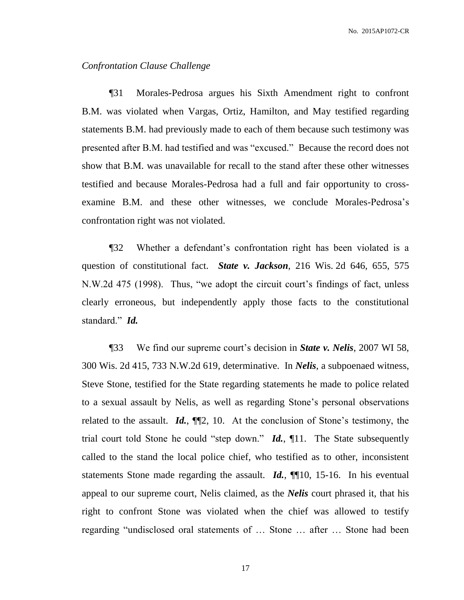#### *Confrontation Clause Challenge*

¶31 Morales-Pedrosa argues his Sixth Amendment right to confront B.M. was violated when Vargas, Ortiz, Hamilton, and May testified regarding statements B.M. had previously made to each of them because such testimony was presented after B.M. had testified and was "excused." Because the record does not show that B.M. was unavailable for recall to the stand after these other witnesses testified and because Morales-Pedrosa had a full and fair opportunity to crossexamine B.M. and these other witnesses, we conclude Morales-Pedrosa's confrontation right was not violated.

¶32 Whether a defendant's confrontation right has been violated is a question of constitutional fact. *State v. Jackson*, 216 Wis. 2d 646, 655, 575 N.W.2d 475 (1998). Thus, "we adopt the circuit court's findings of fact, unless clearly erroneous, but independently apply those facts to the constitutional standard." *Id.*

¶33 We find our supreme court's decision in *State v. Nelis*, 2007 WI 58, 300 Wis. 2d 415, 733 N.W.2d 619, determinative. In *Nelis*, a subpoenaed witness, Steve Stone, testified for the State regarding statements he made to police related to a sexual assault by Nelis, as well as regarding Stone's personal observations related to the assault. *Id.*, ¶¶2, 10. At the conclusion of Stone's testimony, the trial court told Stone he could "step down." *Id.*, ¶11. The State subsequently called to the stand the local police chief, who testified as to other, inconsistent statements Stone made regarding the assault. *Id.*, ¶¶10, 15-16. In his eventual appeal to our supreme court, Nelis claimed, as the *Nelis* court phrased it, that his right to confront Stone was violated when the chief was allowed to testify regarding "undisclosed oral statements of … Stone … after … Stone had been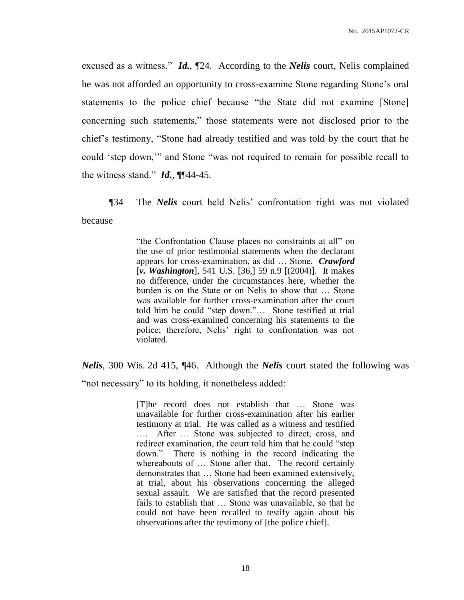excused as a witness." *Id.*, ¶24. According to the *Nelis* court, Nelis complained he was not afforded an opportunity to cross-examine Stone regarding Stone's oral statements to the police chief because "the State did not examine [Stone] concerning such statements," those statements were not disclosed prior to the chief's testimony, "Stone had already testified and was told by the court that he could 'step down,'" and Stone "was not required to remain for possible recall to the witness stand." *Id.*, ¶¶44-45.

¶34 The *Nelis* court held Nelis' confrontation right was not violated because

> "the Confrontation Clause places no constraints at all" on the use of prior testimonial statements when the declarant appears for cross-examination, as did … Stone. *Crawford* [*v. Washington*], 541 U.S. [36,] 59 n.9 [(2004)]. It makes no difference, under the circumstances here, whether the burden is on the State or on Nelis to show that … Stone was available for further cross-examination after the court told him he could "step down."… Stone testified at trial and was cross-examined concerning his statements to the police; therefore, Nelis' right to confrontation was not violated.

*Nelis*, 300 Wis. 2d 415, ¶46. Although the *Nelis* court stated the following was

"not necessary" to its holding, it nonetheless added:

[T]he record does not establish that … Stone was unavailable for further cross-examination after his earlier testimony at trial. He was called as a witness and testified …. After … Stone was subjected to direct, cross, and redirect examination, the court told him that he could "step down." There is nothing in the record indicating the whereabouts of … Stone after that. The record certainly demonstrates that … Stone had been examined extensively, at trial, about his observations concerning the alleged sexual assault. We are satisfied that the record presented fails to establish that … Stone was unavailable, so that he could not have been recalled to testify again about his observations after the testimony of [the police chief].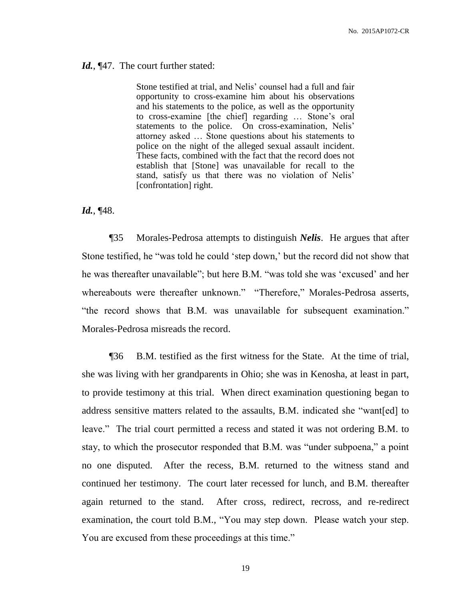#### Id., [47. The court further stated:

Stone testified at trial, and Nelis' counsel had a full and fair opportunity to cross-examine him about his observations and his statements to the police, as well as the opportunity to cross-examine [the chief] regarding … Stone's oral statements to the police. On cross-examination, Nelis' attorney asked … Stone questions about his statements to police on the night of the alleged sexual assault incident. These facts, combined with the fact that the record does not establish that [Stone] was unavailable for recall to the stand, satisfy us that there was no violation of Nelis' [confrontation] right.

#### *Id.*, ¶48.

¶35 Morales-Pedrosa attempts to distinguish *Nelis*. He argues that after Stone testified, he "was told he could 'step down,' but the record did not show that he was thereafter unavailable"; but here B.M. "was told she was 'excused' and her whereabouts were thereafter unknown." "Therefore," Morales-Pedrosa asserts, "the record shows that B.M. was unavailable for subsequent examination." Morales-Pedrosa misreads the record.

¶36 B.M. testified as the first witness for the State. At the time of trial, she was living with her grandparents in Ohio; she was in Kenosha, at least in part, to provide testimony at this trial. When direct examination questioning began to address sensitive matters related to the assaults, B.M. indicated she "want[ed] to leave." The trial court permitted a recess and stated it was not ordering B.M. to stay, to which the prosecutor responded that B.M. was "under subpoena," a point no one disputed. After the recess, B.M. returned to the witness stand and continued her testimony. The court later recessed for lunch, and B.M. thereafter again returned to the stand. After cross, redirect, recross, and re-redirect examination, the court told B.M., "You may step down. Please watch your step. You are excused from these proceedings at this time."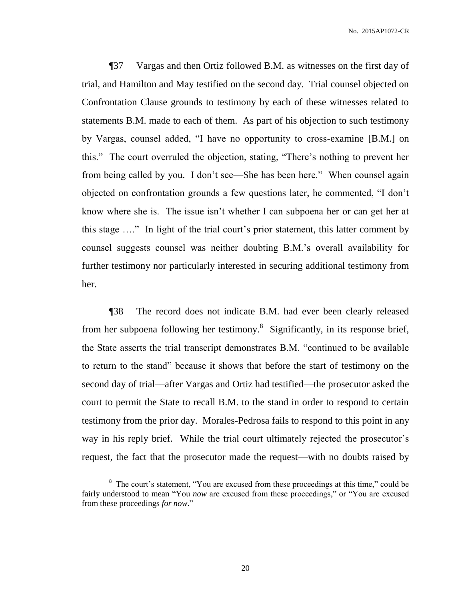¶37 Vargas and then Ortiz followed B.M. as witnesses on the first day of trial, and Hamilton and May testified on the second day. Trial counsel objected on Confrontation Clause grounds to testimony by each of these witnesses related to statements B.M. made to each of them. As part of his objection to such testimony by Vargas, counsel added, "I have no opportunity to cross-examine [B.M.] on this." The court overruled the objection, stating, "There's nothing to prevent her from being called by you. I don't see—She has been here." When counsel again objected on confrontation grounds a few questions later, he commented, "I don't know where she is. The issue isn't whether I can subpoena her or can get her at this stage …." In light of the trial court's prior statement, this latter comment by counsel suggests counsel was neither doubting B.M.'s overall availability for further testimony nor particularly interested in securing additional testimony from her.

¶38 The record does not indicate B.M. had ever been clearly released from her subpoena following her testimony.<sup>8</sup> Significantly, in its response brief, the State asserts the trial transcript demonstrates B.M. "continued to be available to return to the stand" because it shows that before the start of testimony on the second day of trial—after Vargas and Ortiz had testified—the prosecutor asked the court to permit the State to recall B.M. to the stand in order to respond to certain testimony from the prior day. Morales-Pedrosa fails to respond to this point in any way in his reply brief. While the trial court ultimately rejected the prosecutor's request, the fact that the prosecutor made the request—with no doubts raised by

 $\overline{a}$ 

<sup>&</sup>lt;sup>8</sup> The court's statement, "You are excused from these proceedings at this time," could be fairly understood to mean "You *now* are excused from these proceedings," or "You are excused from these proceedings *for now*."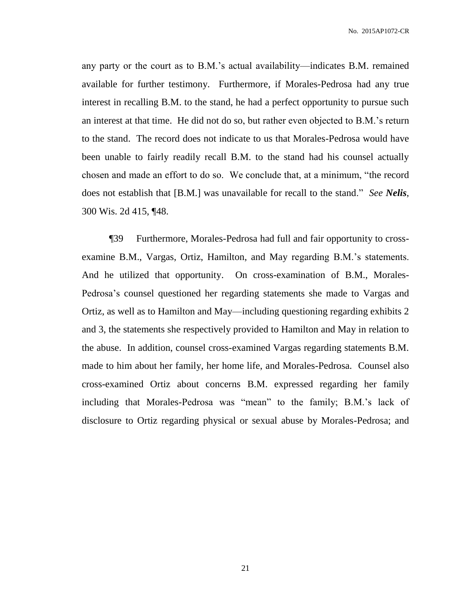any party or the court as to B.M.'s actual availability—indicates B.M. remained available for further testimony. Furthermore, if Morales-Pedrosa had any true interest in recalling B.M. to the stand, he had a perfect opportunity to pursue such an interest at that time. He did not do so, but rather even objected to B.M.'s return to the stand. The record does not indicate to us that Morales-Pedrosa would have been unable to fairly readily recall B.M. to the stand had his counsel actually chosen and made an effort to do so. We conclude that, at a minimum, "the record does not establish that [B.M.] was unavailable for recall to the stand." *See Nelis*, 300 Wis. 2d 415, ¶48.

¶39 Furthermore, Morales-Pedrosa had full and fair opportunity to crossexamine B.M., Vargas, Ortiz, Hamilton, and May regarding B.M.'s statements. And he utilized that opportunity. On cross-examination of B.M., Morales-Pedrosa's counsel questioned her regarding statements she made to Vargas and Ortiz, as well as to Hamilton and May—including questioning regarding exhibits 2 and 3, the statements she respectively provided to Hamilton and May in relation to the abuse. In addition, counsel cross-examined Vargas regarding statements B.M. made to him about her family, her home life, and Morales-Pedrosa. Counsel also cross-examined Ortiz about concerns B.M. expressed regarding her family including that Morales-Pedrosa was "mean" to the family; B.M.'s lack of disclosure to Ortiz regarding physical or sexual abuse by Morales-Pedrosa; and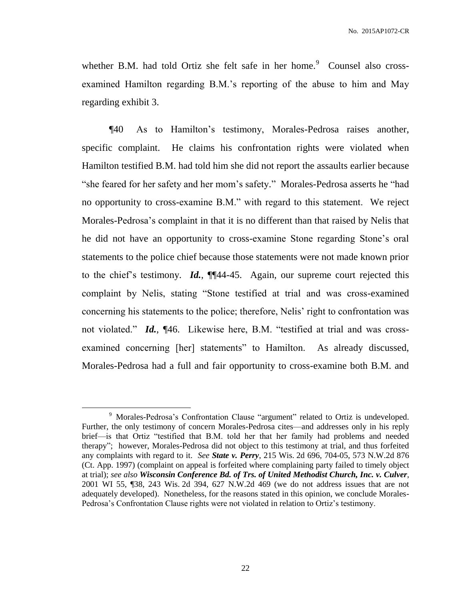whether B.M. had told Ortiz she felt safe in her home. $9$  Counsel also crossexamined Hamilton regarding B.M.'s reporting of the abuse to him and May regarding exhibit 3.

¶40 As to Hamilton's testimony, Morales-Pedrosa raises another, specific complaint. He claims his confrontation rights were violated when Hamilton testified B.M. had told him she did not report the assaults earlier because "she feared for her safety and her mom's safety." Morales-Pedrosa asserts he "had no opportunity to cross-examine B.M." with regard to this statement. We reject Morales-Pedrosa's complaint in that it is no different than that raised by Nelis that he did not have an opportunity to cross-examine Stone regarding Stone's oral statements to the police chief because those statements were not made known prior to the chief's testimony. *Id.*, ¶¶44-45. Again, our supreme court rejected this complaint by Nelis, stating "Stone testified at trial and was cross-examined concerning his statements to the police; therefore, Nelis' right to confrontation was not violated." *Id.*, ¶46. Likewise here, B.M. "testified at trial and was crossexamined concerning [her] statements" to Hamilton. As already discussed, Morales-Pedrosa had a full and fair opportunity to cross-examine both B.M. and

<sup>&</sup>lt;sup>9</sup> Morales-Pedrosa's Confrontation Clause "argument" related to Ortiz is undeveloped. Further, the only testimony of concern Morales-Pedrosa cites—and addresses only in his reply brief—is that Ortiz "testified that B.M. told her that her family had problems and needed therapy"; however, Morales-Pedrosa did not object to this testimony at trial, and thus forfeited any complaints with regard to it. *See State v. Perry*, 215 Wis. 2d 696, 704-05, 573 N.W.2d 876 (Ct. App. 1997) (complaint on appeal is forfeited where complaining party failed to timely object at trial); *see also Wisconsin Conference Bd. of Trs. of United Methodist Church, Inc. v. Culver*, 2001 WI 55, ¶38, 243 Wis. 2d 394, 627 N.W.2d 469 (we do not address issues that are not adequately developed). Nonetheless, for the reasons stated in this opinion, we conclude Morales-Pedrosa's Confrontation Clause rights were not violated in relation to Ortiz's testimony.